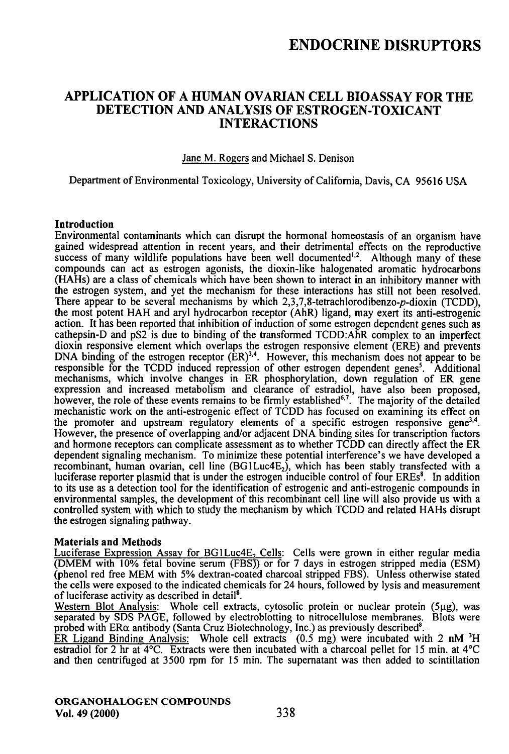## ENDOCRINE DISRUPTORS

### APPLICATION OF A HUMAN OVARIAN CELL BIOASSAY FOR THE DETECTION AND ANALYSIS OF ESTROGEN-TOXICANT INTERACTIONS

#### Jane M. Rogers and Michael S. Denison

Departinent of Environmental Toxicology, University of Califomia, Davis, CA 95616 USA

#### **Introduction**

Environmental contaminants which can dismpt the hormonal homeostasis of an organism have gained widespread attention in recent years, and their defrimental effects on the reproductive success of many wildlife populations have been well documented<sup> $1,2$ </sup>. Although many of these compounds can act as esfrogen agonists, the dioxin-like halogenated aromatic hydrocarbons (HAHs) are a class of chemicals which have been shown to interact in an inhibitory manner with the esfrogen system, and yet the mechanism for these interactions has still not been resolved. There appear to be several mechanisms by which  $2,3,7,8$ -tetrachlorodibenzo- $p$ -dioxin (TCDD), the most potent HAH and aryl hydrocarbon receptor (AhR) ligand, may exert its anti-estrogenic action. It has been reported that inhibition of induction of some esfrogen dependent genes such as cathepsin-D and pS2 is due to binding of the fransformed TCDD:AhR complex to an imperfect dioxin responsive element which overlaps the esfrogen responsive element (ERE) and prevents DNA binding of the estrogen receptor  $(ER)^{3,4}$ . However, this mechanism does not appear to be responsible for the TCDD induced repression of other esfrogen dependent genes'. Additional mechanisms, which involve changes in ER phosphotylation, down regulation of ER gene expression and increased metabolism and clearance of esfradiol, have also been proposed, however, the role of these events remains to be firmly established<sup> $6,7$ </sup>. The majority of the detailed  $\frac{1}{2}$ mechanistic work on the anti-estrogenic effect of TCDD has focused on examining its effect on the promoter and upstream regulatory elements of a specific estrogen responsive gene<sup>3,4</sup>. However, the presence of overlapping and/or adjacent DNA binding sites for transcription factors and hormone receptors can complicate assessment as to whether TCDD can directly affect the ER dependent signaling mechanism. To minimize these potential interference's we have developed a recombinant, human ovarian, cell line  $(BG1Luc4E<sub>2</sub>)$ , which has been stably transfected with a luciferase reporter plasmid that is under the estrogen inducible control of four EREs<sup>8</sup>. In addition to its use as a detection tool for the identification of esfrogenic and anti-estrogenic compounds in environmental samples, the development of this recombinant cell line will also provide us with a confrolled system with which to stady the mechanism by which TCDD and related HAHs dismpt the estrogen signaling pathway.

#### Materials and Methods

Luciferase Expression Assay for BG1Luc4E, Cells: Cells were grown in either regular media (DMEM with 10% fetal bovine serum (FBS)) or for 7 days in estrogen stripped media (ESM) (phenol red free MEM with 5% dexfran-coated charcoal sfripped FBS). Unless otherwise stated the cells were exposed to the indicated chemicals for 24 hours, followed by lysis and measurement of luciferase activity as described in detail\*.

Western Blot Analysis: Whole cell extracts, cytosolic protein or nuclear protein  $(5\mu g)$ , was separated by SDS PAGE, followed by electroblotting to nitrocellulose membranes. Blots were probed with  $ER\alpha$  antibody (Santa Cruz Biotechnology, Inc.) as previously described<sup>8</sup>.

ER Ligand Binding Analysis: Whole cell extracts (0.5 mg) were incubated with 2 nM 'H estradiol for 2 hr at 4°C. Exfracts were then incubated with a charcoal pellet for 15 min. at 4°C and then centrifuged at 3500 rpm for 15 min. The supernatant was then added to scintillation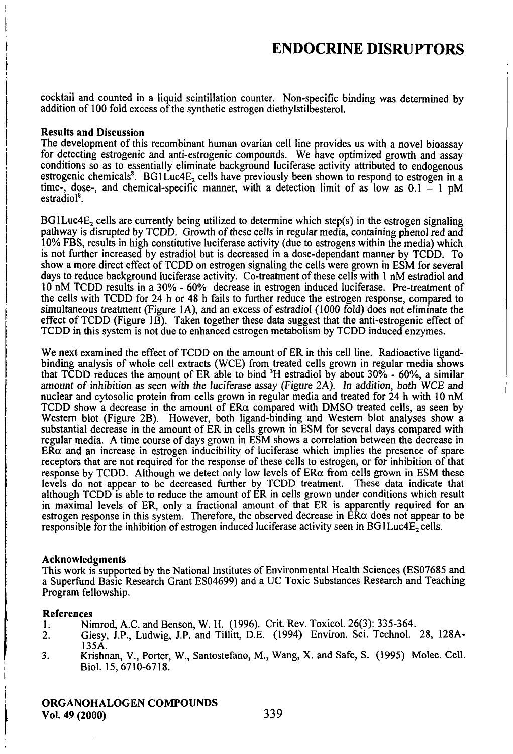cocktail and counted in a liquid scintillation counter. Non-specific binding was determined by addition of 100 fold excess of the synthetic estrogen diethylstilbesterol.

#### Results and Discussion

The development of this recombinant human ovarian cell line provides us with a novel bioassay for detecting esfrogenic and anti-estrogenic compounds. We have optimized growth and assay conditions so as to essentially eliminate background luciferase activity attributed to endogenous estrogenic chemicals<sup>8</sup>. BG1Luc4E<sub>2</sub> cells have previously been shown to respond to estrogen in a time-, dose-, and chemical-specific manner, with a detection limit of as low as  $0.1 - 1$  pM estradio<sup>®</sup>

 $BGLuc4E<sub>2</sub>$  cells are currently being utilized to determine which step(s) in the estrogen signaling pathway is dismpted by TCDD. Growth of these cells in regular media, containing phenol red and 10% FBS, results in high constitative luciferase activity (due to esfrogens within the media) which is not further increased by esfradiol but is decreased in a dose-dependant manner by TCDD. To show a more direct effect of TCDD on esfrogen signaling the cells were grown in ESM for several days to reduce background luciferase activity. Co-treatment of these cells with 1 nM estradiol and 10 nM TCDD results in a 30% - 60% decrease in esfrogen induced luciferase. Pre-freatment of the cells with TCDD for 24 h or 48 h fails to further reduce the estrogen response, compared to simultaneous freatment (Figure IA), and an excess of estradiol (1000 fold) does not eliminate the effect of TCDD (Figure 1B). Taken together these data suggest that the anti-esfrogenic effect of TCDD in this system is not due to enhanced esfrogen metabolism by TCDD induced enzymes.

We next examined the effect of TCDD on the amount of ER in this cell line. Radioactive ligandbinding analysis of whole cell exfracts (WCE) from freated cells grown in regular media shows that TCDD reduces the amount of ER able to bind  ${}^{3}H$  estradiol by about 30% - 60%, a similar amount of inhibition as seen with the luciferase assay (Figure 2A). In addition, both WCE and nuclear and cytosolic protein from cells grown in regular media and treated for 24 h with 10 nM TCDD show a decrease in the amount of  $ER\alpha$  compared with DMSO treated cells, as seen by Westem blot (Figure 2B). However, both ligand-binding and Westem blot analyses show a substantial decrease in the amount of ER in cells grown in ESM for several days compared with regular media. A time course of days grown in ESM shows a conelation between the decrease in  $E\overline{R}\alpha$  and an increase in estrogen inducibility of luciferase which implies the presence of spare receptors that are not required for the response of these cells to esfrogen, or for inhibition of that response by TCDD. Although we detect only low levels of  $ER\alpha$  from cells grown in ESM these levels do not appear to be decreased further by TCDD treatment. These data indicate that although  $\text{TCDD}$  is able to reduce the amount of  $ER$  in cells grown under conditions which result in maximal levels of ER, only a fractional amount of that ER is apparently required for an estrogen response in this system. Therefore, the observed decrease in  $ER\alpha$  does not appear to be responsible for the inhibition of estrogen induced luciferase activity seen in BG1Luc4E<sub>2</sub> cells.

#### Acknowledgments

This work is supported by the National Institutes of Environmental Health Sciences (ES07685 and a Superfiind Basic Research Grant ES04699) and a UC Toxic Substances Research and Teaching Program fellowship.

# **References**<br>1. Nii

- 1. Nimrod, A.C. and Benson, W. H. (1996). Crit. Rev. Toxicol. 26(3): 335-364.<br>2. Giesy, J.P., Ludwig, J.P. and Tillitt, D.E. (1994) Environ. Sci. Technol.
- 2. Giesy, J.P., Ludwig, J.P. and Tillitt, D.E. (1994) Environ. Sci. Technol. 28, 128A-135A.
- 3. Krishnan, V., Porter, W., Santostefano, M., Wang, X. and Safe, S. (1995) Molec. CeU. Biol. 15,6710-6718.

ORGANOHALOGEN COMPOUNDS Vol. 49 (2000) 339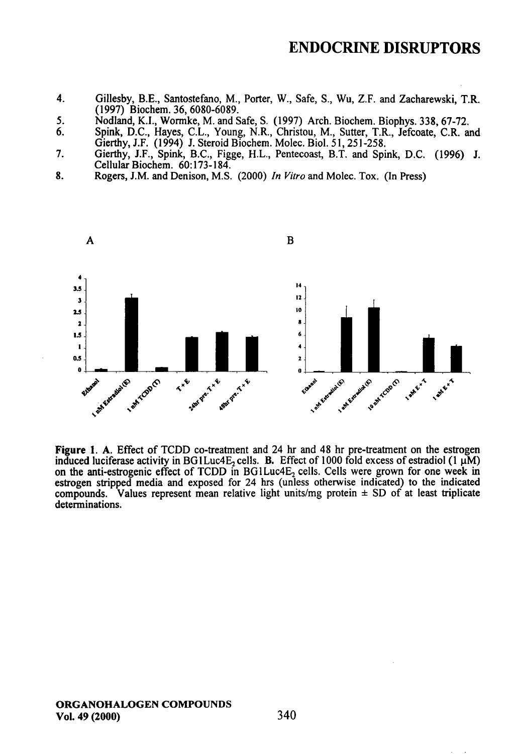### ENDOCRINE DISRUPTORS

- 4. Gillesby, B.E., Santostefano, M., Porter, W., Safe, S., Wu, Z.F. and Zacharewski, T.R. (1997) Biochem. 36, 6080-6089.
- 5. Nodland, K.I., Wormke, M. and Safe, S. (1997) Arch. Biochem. Biophys. 338, 67-72.<br>6. Spink, D.C. Haves, C.L. Young, N.R. Christou, M. Sutter, T.R. Jefcoate, C.R. at
- 6. Spink, D.C, Hayes, C.L., Young, N.R., Christou, M., Sutter, T.R., Jefcoate, CR. and Gierthy, J.F. (1994) J. Steroid Biochem. Molec. Biol. 51, 251-258.
- 7. Gierthy, J.F., Spink, B.C., Figge, H.L., Pentecoast, B.T. and Spink, D.C. (1996) J. Cellular Biochem. 60:173-184.
- 8. Rogers, J.M. and Denison, M.S. (2000) In Vitro and Molec. Tox. (In Press)



Figure 1. A. Effect of TCDD co-freatment and 24 hr and 48 hr pre-freatment on the esfrogen induced luciferase activity in BG1Luc4E<sub>2</sub> cells. B. Effect of 1000 fold excess of estradiol (1  $\mu$ M) on the anti-estrogenic effect of TCDD in  $BGLuc4E<sub>2</sub>$  cells. Cells were grown for one week in estrogen stripped media and exposed for 24 hrs (unless otherwise indicated) to the indicated compounds. Values represent mean relative light units/mg protein  $\pm$  SD of at least triplicate determinations.